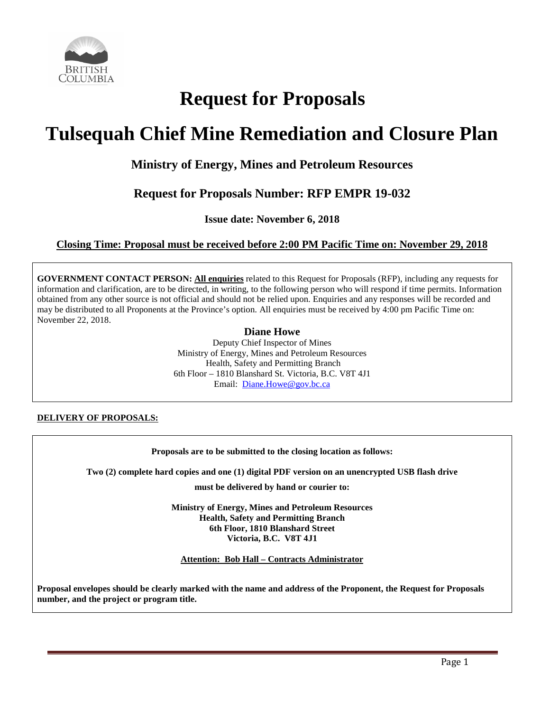

# **Request for Proposals**

# **Tulsequah Chief Mine Remediation and Closure Plan**

## **Ministry of Energy, Mines and Petroleum Resources**

## **Request for Proposals Number: RFP EMPR 19-032**

**Issue date: November 6, 2018**

## **Closing Time: Proposal must be received before 2:00 PM Pacific Time on: November 29, 2018**

**GOVERNMENT CONTACT PERSON: All enquiries** related to this Request for Proposals (RFP), including any requests for information and clarification, are to be directed, in writing, to the following person who will respond if time permits. Information obtained from any other source is not official and should not be relied upon. Enquiries and any responses will be recorded and may be distributed to all Proponents at the Province's option. All enquiries must be received by 4:00 pm Pacific Time on: November 22, 2018.

## **Diane Howe**

Deputy Chief Inspector of Mines Ministry of Energy, Mines and Petroleum Resources Health, Safety and Permitting Branch 6th Floor – 1810 Blanshard St. Victoria, B.C. V8T 4J1 Email: [Diane.Howe@gov.bc.ca](mailto:Diane.Howe@gov.bc.ca)

**DELIVERY OF PROPOSALS:**

## **Proposals are to be submitted to the closing location as follows:**

**Two (2) complete hard copies and one (1) digital PDF version on an unencrypted USB flash drive**

**must be delivered by hand or courier to:**

**Ministry of Energy, Mines and Petroleum Resources Health, Safety and Permitting Branch 6th Floor, 1810 Blanshard Street Victoria, B.C. V8T 4J1**

**Attention: Bob Hall – Contracts Administrator**

**Proposal envelopes should be clearly marked with the name and address of the Proponent, the Request for Proposals number, and the project or program title.**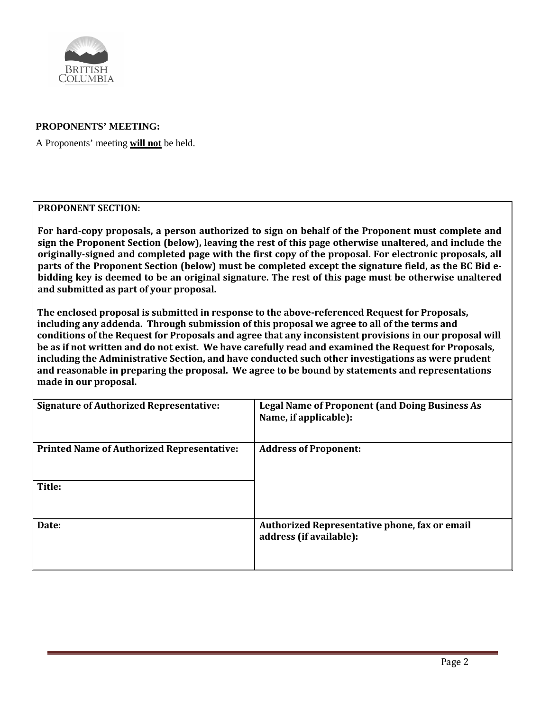

## **PROPONENTS' MEETING:**

A Proponents' meeting **will not** be held.

## **PROPONENT SECTION:**

**For hard-copy proposals, a person authorized to sign on behalf of the Proponent must complete and sign the Proponent Section (below), leaving the rest of this page otherwise unaltered, and include the originally-signed and completed page with the first copy of the proposal. For electronic proposals, all parts of the Proponent Section (below) must be completed except the signature field, as the BC Bid ebidding key is deemed to be an original signature. The rest of this page must be otherwise unaltered and submitted as part of your proposal.**

**The enclosed proposal is submitted in response to the above-referenced Request for Proposals, including any addenda. Through submission of this proposal we agree to all of the terms and conditions of the Request for Proposals and agree that any inconsistent provisions in our proposal will be as if not written and do not exist. We have carefully read and examined the Request for Proposals, including the Administrative Section, and have conducted such other investigations as were prudent and reasonable in preparing the proposal. We agree to be bound by statements and representations made in our proposal.**

| <b>Signature of Authorized Representative:</b>    | <b>Legal Name of Proponent (and Doing Business As</b><br>Name, if applicable): |
|---------------------------------------------------|--------------------------------------------------------------------------------|
| <b>Printed Name of Authorized Representative:</b> | <b>Address of Proponent:</b>                                                   |
| Title:                                            |                                                                                |
| Date:                                             | Authorized Representative phone, fax or email<br>address (if available):       |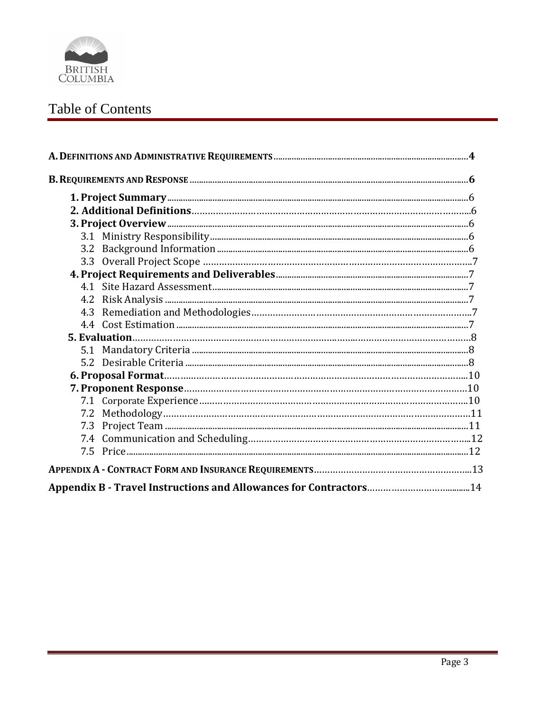

## Table of Contents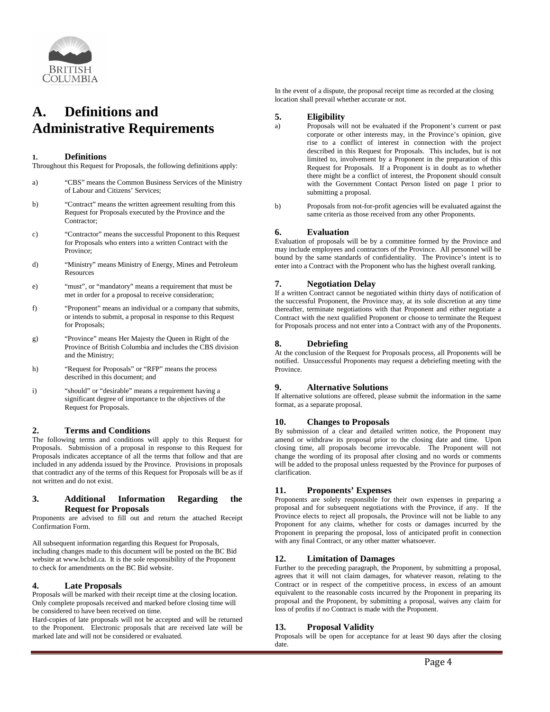

## <span id="page-3-0"></span>**A. Definitions and Administrative Requirements**

#### **1. Definitions**

Throughout this Request for Proposals, the following definitions apply:

- a) "CBS" means the Common Business Services of the Ministry of Labour and Citizens' Services;
- b) "Contract" means the written agreement resulting from this Request for Proposals executed by the Province and the Contractor;
- c) "Contractor" means the successful Proponent to this Request for Proposals who enters into a written Contract with the Province;
- d) "Ministry" means Ministry of Energy, Mines and Petroleum Resources
- e) "must", or "mandatory" means a requirement that must be met in order for a proposal to receive consideration;
- f) "Proponent" means an individual or a company that submits, or intends to submit, a proposal in response to this Request for Proposals;
- g) "Province" means Her Majesty the Queen in Right of the Province of British Columbia and includes the CBS division and the Ministry;
- h) "Request for Proposals" or "RFP" means the process described in this document; and
- i) "should" or "desirable" means a requirement having a significant degree of importance to the objectives of the Request for Proposals.

#### **2. Terms and Conditions**

The following terms and conditions will apply to this Request for Proposals. Submission of a proposal in response to this Request for Proposals indicates acceptance of all the terms that follow and that are included in any addenda issued by the Province. Provisions in proposals that contradict any of the terms of this Request for Proposals will be as if not written and do not exist.

#### **3. Additional Information Regarding the Request for Proposals**

Proponents are advised to fill out and return the attached Receipt Confirmation Form.

All subsequent information regarding this Request for Proposals, including changes made to this document will be posted on the BC Bid website a[t www.bcbid.ca.](http://www.bcbid.ca/) It is the sole responsibility of the Proponent to check for amendments on the BC Bid website.

#### **4. Late Proposals**

Proposals will be marked with their receipt time at the closing location. Only complete proposals received and marked before closing time will be considered to have been received on time.

Hard-copies of late proposals will not be accepted and will be returned to the Proponent. Electronic proposals that are received late will be marked late and will not be considered or evaluated.

In the event of a dispute, the proposal receipt time as recorded at the closing location shall prevail whether accurate or not.

## **5. Eligibility**

- Proposals will not be evaluated if the Proponent's current or past corporate or other interests may, in the Province's opinion, give rise to a conflict of interest in connection with the project described in this Request for Proposals. This includes, but is not limited to, involvement by a Proponent in the preparation of this Request for Proposals. If a Proponent is in doubt as to whether there might be a conflict of interest, the Proponent should consult with the Government Contact Person listed on page 1 prior to submitting a proposal.
- b) Proposals from not-for-profit agencies will be evaluated against the same criteria as those received from any other Proponents.

#### **6. Evaluation**

Evaluation of proposals will be by a committee formed by the Province and may include employees and contractors of the Province. All personnel will be bound by the same standards of confidentiality. The Province's intent is to enter into a Contract with the Proponent who has the highest overall ranking.

#### **7. Negotiation Delay**

If a written Contract cannot be negotiated within thirty days of notification of the successful Proponent, the Province may, at its sole discretion at any time thereafter, terminate negotiations with that Proponent and either negotiate a Contract with the next qualified Proponent or choose to terminate the Request for Proposals process and not enter into a Contract with any of the Proponents.

#### **8. Debriefing**

At the conclusion of the Request for Proposals process, all Proponents will be notified. Unsuccessful Proponents may request a debriefing meeting with the Province.

#### **9. Alternative Solutions**

If alternative solutions are offered, please submit the information in the same format, as a separate proposal.

#### **10. Changes to Proposals**

By submission of a clear and detailed written notice, the Proponent may amend or withdraw its proposal prior to the closing date and time. Upon closing time, all proposals become irrevocable. The Proponent will not change the wording of its proposal after closing and no words or comments will be added to the proposal unless requested by the Province for purposes of clarification.

#### **11. Proponents' Expenses**

Proponents are solely responsible for their own expenses in preparing a proposal and for subsequent negotiations with the Province, if any. If the Province elects to reject all proposals, the Province will not be liable to any Proponent for any claims, whether for costs or damages incurred by the Proponent in preparing the proposal, loss of anticipated profit in connection with any final Contract, or any other matter whatsoever.

#### **12. Limitation of Damages**

Further to the preceding paragraph, the Proponent, by submitting a proposal, agrees that it will not claim damages, for whatever reason, relating to the Contract or in respect of the competitive process, in excess of an amount equivalent to the reasonable costs incurred by the Proponent in preparing its proposal and the Proponent, by submitting a proposal, waives any claim for loss of profits if no Contract is made with the Proponent.

#### **13. Proposal Validity**

Proposals will be open for acceptance for at least 90 days after the closing date.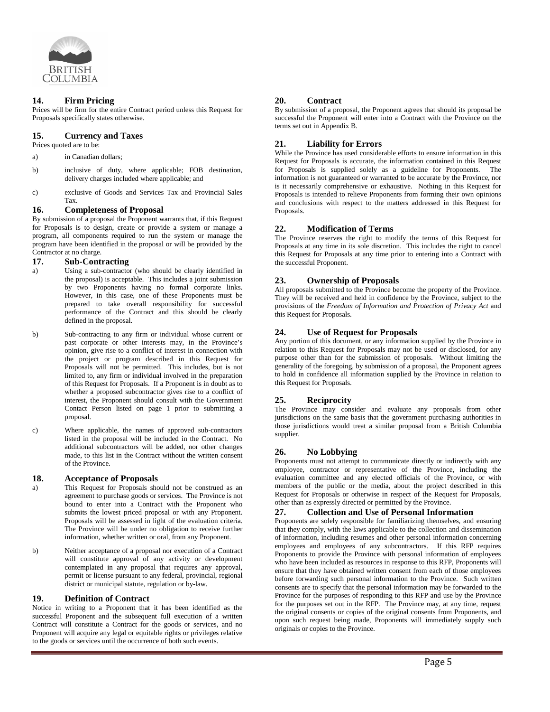

#### **14. Firm Pricing**

Prices will be firm for the entire Contract period unless this Request for Proposals specifically states otherwise.

#### **15. Currency and Taxes**

- Prices quoted are to be:
- a) in Canadian dollars;
- b) inclusive of duty, where applicable; FOB destination, delivery charges included where applicable; and
- c) exclusive of Goods and Services Tax and Provincial Sales Tax.

#### **16. Completeness of Proposal**

By submission of a proposal the Proponent warrants that, if this Request for Proposals is to design, create or provide a system or manage a program, all components required to run the system or manage the program have been identified in the proposal or will be provided by the Contractor at no charge.

## **17. Sub-Contracting**

- Using a sub-contractor (who should be clearly identified in the proposal) is acceptable. This includes a joint submission by two Proponents having no formal corporate links. However, in this case, one of these Proponents must be prepared to take overall responsibility for successful performance of the Contract and this should be clearly defined in the proposal.
- b) Sub-contracting to any firm or individual whose current or past corporate or other interests may, in the Province's opinion, give rise to a conflict of interest in connection with the project or program described in this Request for Proposals will not be permitted. This includes, but is not limited to, any firm or individual involved in the preparation of this Request for Proposals. If a Proponent is in doubt as to whether a proposed subcontractor gives rise to a conflict of interest, the Proponent should consult with the Government Contact Person listed on page 1 prior to submitting a proposal.
- c) Where applicable, the names of approved sub-contractors listed in the proposal will be included in the Contract. No additional subcontractors will be added, nor other changes made, to this list in the Contract without the written consent of the Province.

#### **18. Acceptance of Proposals**

- a) This Request for Proposals should not be construed as an agreement to purchase goods or services. The Province is not bound to enter into a Contract with the Proponent who submits the lowest priced proposal or with any Proponent. Proposals will be assessed in light of the evaluation criteria. The Province will be under no obligation to receive further information, whether written or oral, from any Proponent.
- b) Neither acceptance of a proposal nor execution of a Contract will constitute approval of any activity or development contemplated in any proposal that requires any approval, permit or license pursuant to any federal, provincial, regional district or municipal statute, regulation or by-law.

#### **19. Definition of Contract**

Notice in writing to a Proponent that it has been identified as the successful Proponent and the subsequent full execution of a written Contract will constitute a Contract for the goods or services, and no Proponent will acquire any legal or equitable rights or privileges relative to the goods or services until the occurrence of both such events.

#### **20. Contract**

By submission of a proposal, the Proponent agrees that should its proposal be successful the Proponent will enter into a Contract with the Province on the terms set out in Appendix B.

#### **21. Liability for Errors**

While the Province has used considerable efforts to ensure information in this Request for Proposals is accurate, the information contained in this Request for Proposals is supplied solely as a guideline for Proponents. The information is not guaranteed or warranted to be accurate by the Province, nor is it necessarily comprehensive or exhaustive. Nothing in this Request for Proposals is intended to relieve Proponents from forming their own opinions and conclusions with respect to the matters addressed in this Request for Proposals.

#### **22. Modification of Terms**

The Province reserves the right to modify the terms of this Request for Proposals at any time in its sole discretion. This includes the right to cancel this Request for Proposals at any time prior to entering into a Contract with the successful Proponent.

#### **23. Ownership of Proposals**

All proposals submitted to the Province become the property of the Province. They will be received and held in confidence by the Province, subject to the provisions of the *Freedom of Information and Protection of Privacy Act* and this Request for Proposals.

#### **24. Use of Request for Proposals**

Any portion of this document, or any information supplied by the Province in relation to this Request for Proposals may not be used or disclosed, for any purpose other than for the submission of proposals. Without limiting the generality of the foregoing, by submission of a proposal, the Proponent agrees to hold in confidence all information supplied by the Province in relation to this Request for Proposals.

#### **25. Reciprocity**

The Province may consider and evaluate any proposals from other jurisdictions on the same basis that the government purchasing authorities in those jurisdictions would treat a similar proposal from a British Columbia supplier.

#### **26. No Lobbying**

Proponents must not attempt to communicate directly or indirectly with any employee, contractor or representative of the Province, including the evaluation committee and any elected officials of the Province, or with members of the public or the media, about the project described in this Request for Proposals or otherwise in respect of the Request for Proposals, other than as expressly directed or permitted by the Province.

#### **27. Collection and Use of Personal Information**

Proponents are solely responsible for familiarizing themselves, and ensuring that they comply, with the laws applicable to the collection and dissemination of information, including resumes and other personal information concerning employees and employees of any subcontractors. If this RFP requires Proponents to provide the Province with personal information of employees who have been included as resources in response to this RFP, Proponents will ensure that they have obtained written consent from each of those employees before forwarding such personal information to the Province. Such written consents are to specify that the personal information may be forwarded to the Province for the purposes of responding to this RFP and use by the Province for the purposes set out in the RFP. The Province may, at any time, request the original consents or copies of the original consents from Proponents, and upon such request being made, Proponents will immediately supply such originals or copies to the Province.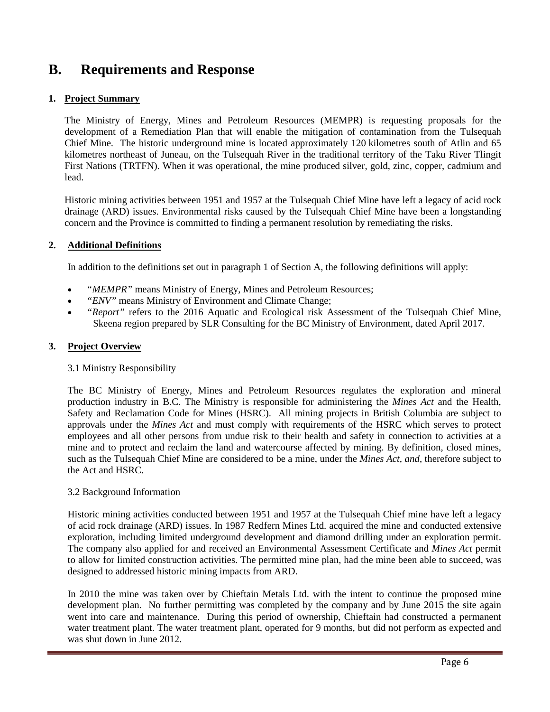## <span id="page-5-0"></span>**B. Requirements and Response**

## <span id="page-5-1"></span>**1. Project Summary**

<span id="page-5-2"></span>The Ministry of Energy, Mines and Petroleum Resources (MEMPR) is requesting proposals for the development of a Remediation Plan that will enable the mitigation of contamination from the Tulsequah Chief Mine. The historic underground mine is located approximately 120 kilometres south of Atlin and 65 kilometres northeast of Juneau, on the Tulsequah River in the traditional territory of the Taku River Tlingit First Nations (TRTFN). When it was operational, the mine produced silver, gold, zinc, copper, cadmium and lead.

Historic mining activities between 1951 and 1957 at the Tulsequah Chief Mine have left a legacy of acid rock drainage (ARD) issues. Environmental risks caused by the Tulsequah Chief Mine have been a longstanding concern and the Province is committed to finding a permanent resolution by remediating the risks.

## **2. Additional Definitions**

In addition to the definitions set out in paragraph 1 of Section A, the following definitions will apply:

- "*MEMPR*" means Ministry of Energy, Mines and Petroleum Resources;
- *"ENV"* means Ministry of Environment and Climate Change;
- *"Report"* refers to the 2016 Aquatic and Ecological risk Assessment of the Tulsequah Chief Mine, Skeena region prepared by SLR Consulting for the BC Ministry of Environment, dated April 2017.

## **3. Project Overview**

## <span id="page-5-3"></span>3.1 Ministry Responsibility

<span id="page-5-4"></span>The BC Ministry of Energy, Mines and Petroleum Resources regulates the exploration and mineral production industry in B.C. The Ministry is responsible for administering the *Mines Act* and the Health, Safety and Reclamation Code for Mines (HSRC). All mining projects in British Columbia are subject to approvals under the *Mines Act* and must comply with requirements of the HSRC which serves to protect employees and all other persons from undue risk to their health and safety in connection to activities at a mine and to protect and reclaim the land and watercourse affected by mining. By definition, closed mines, such as the Tulsequah Chief Mine are considered to be a mine, under the *Mines Act, and*, therefore subject to the Act and HSRC.

## 3.2 Background Information

Historic mining activities conducted between 1951 and 1957 at the Tulsequah Chief mine have left a legacy of acid rock drainage (ARD) issues. In 1987 Redfern Mines Ltd. acquired the mine and conducted extensive exploration, including limited underground development and diamond drilling under an exploration permit. The company also applied for and received an Environmental Assessment Certificate and *Mines Act* permit to allow for limited construction activities. The permitted mine plan, had the mine been able to succeed, was designed to addressed historic mining impacts from ARD.

In 2010 the mine was taken over by Chieftain Metals Ltd. with the intent to continue the proposed mine development plan. No further permitting was completed by the company and by June 2015 the site again went into care and maintenance. During this period of ownership, Chieftain had constructed a permanent water treatment plant. The water treatment plant, operated for 9 months, but did not perform as expected and was shut down in June 2012.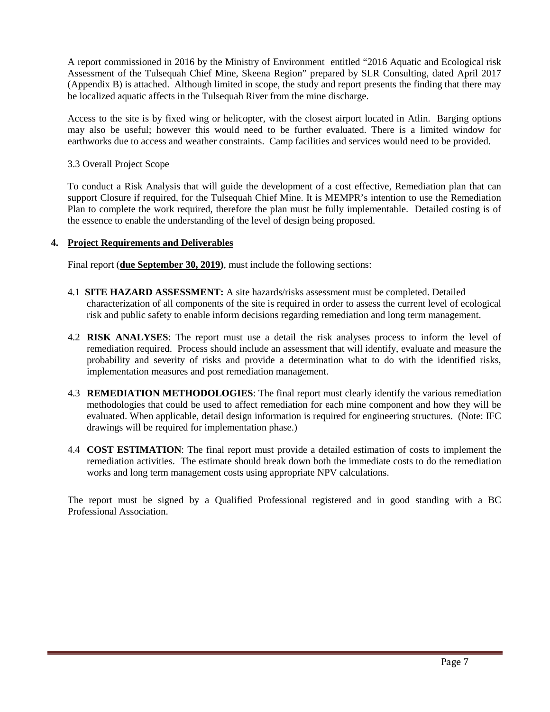A report commissioned in 2016 by the Ministry of Environment entitled "2016 Aquatic and Ecological risk Assessment of the Tulsequah Chief Mine, Skeena Region" prepared by SLR Consulting, dated April 2017 (Appendix B) is attached. Although limited in scope, the study and report presents the finding that there may be localized aquatic affects in the Tulsequah River from the mine discharge.

Access to the site is by fixed wing or helicopter, with the closest airport located in Atlin. Barging options may also be useful; however this would need to be further evaluated. There is a limited window for earthworks due to access and weather constraints. Camp facilities and services would need to be provided.

<span id="page-6-0"></span>3.3 Overall Project Scope

To conduct a Risk Analysis that will guide the development of a cost effective, Remediation plan that can support Closure if required, for the Tulsequah Chief Mine. It is MEMPR's intention to use the Remediation Plan to complete the work required, therefore the plan must be fully implementable. Detailed costing is of the essence to enable the understanding of the level of design being proposed.

## **4. Project Requirements and Deliverables**

Final report (**due September 30, 2019)**, must include the following sections:

- 4.1 **SITE HAZARD ASSESSMENT:** A site hazards/risks assessment must be completed. Detailed characterization of all components of the site is required in order to assess the current level of ecological risk and public safety to enable inform decisions regarding remediation and long term management.
- 4.2 **RISK ANALYSES**: The report must use a detail the risk analyses process to inform the level of remediation required. Process should include an assessment that will identify, evaluate and measure the probability and severity of risks and provide a determination what to do with the identified risks, implementation measures and post remediation management.
- 4.3 **REMEDIATION METHODOLOGIES**: The final report must clearly identify the various remediation methodologies that could be used to affect remediation for each mine component and how they will be evaluated. When applicable, detail design information is required for engineering structures. (Note: IFC drawings will be required for implementation phase.)
- 4.4 **COST ESTIMATION**: The final report must provide a detailed estimation of costs to implement the remediation activities. The estimate should break down both the immediate costs to do the remediation works and long term management costs using appropriate NPV calculations.

The report must be signed by a Qualified Professional registered and in good standing with a BC Professional Association.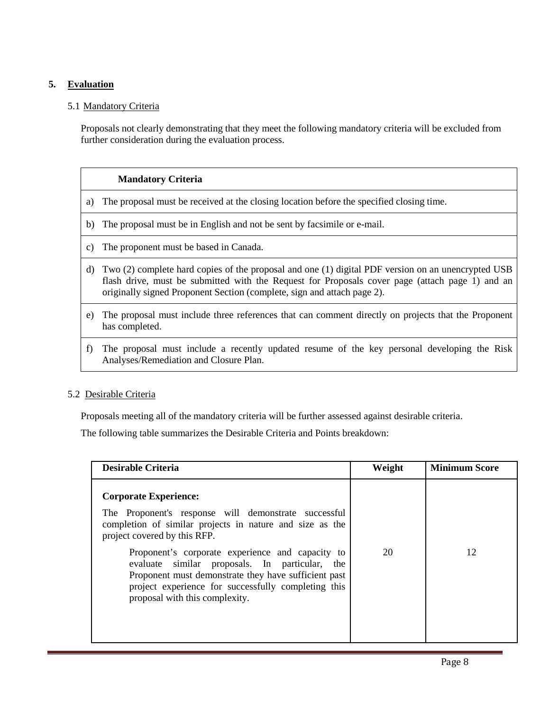## <span id="page-7-0"></span>**5. Evaluation**

## 5.1 Mandatory Criteria

Proposals not clearly demonstrating that they meet the following mandatory criteria will be excluded from further consideration during the evaluation process.

## **Mandatory Criteria**

- a) The proposal must be received at the closing location before the specified closing time.
- b) The proposal must be in English and not be sent by facsimile or e-mail.
- c) The proponent must be based in Canada.
- d) Two (2) complete hard copies of the proposal and one (1) digital PDF version on an unencrypted USB flash drive, must be submitted with the Request for Proposals cover page (attach page 1) and an originally signed Proponent Section (complete, sign and attach page 2).
- e) The proposal must include three references that can comment directly on projects that the Proponent has completed.
- f) The proposal must include a recently updated resume of the key personal developing the Risk Analyses/Remediation and Closure Plan.

## 5.2 Desirable Criteria

Proposals meeting all of the mandatory criteria will be further assessed against desirable criteria.

The following table summarizes the Desirable Criteria and Points breakdown:

| <b>Desirable Criteria</b>                                                                                                                                                                                                                           | Weight | <b>Minimum Score</b> |  |
|-----------------------------------------------------------------------------------------------------------------------------------------------------------------------------------------------------------------------------------------------------|--------|----------------------|--|
| <b>Corporate Experience:</b><br>The Proponent's response will demonstrate successful<br>completion of similar projects in nature and size as the<br>project covered by this RFP.                                                                    |        |                      |  |
| Proponent's corporate experience and capacity to<br>evaluate similar proposals. In particular, the<br>Proponent must demonstrate they have sufficient past<br>project experience for successfully completing this<br>proposal with this complexity. | 20     | 12                   |  |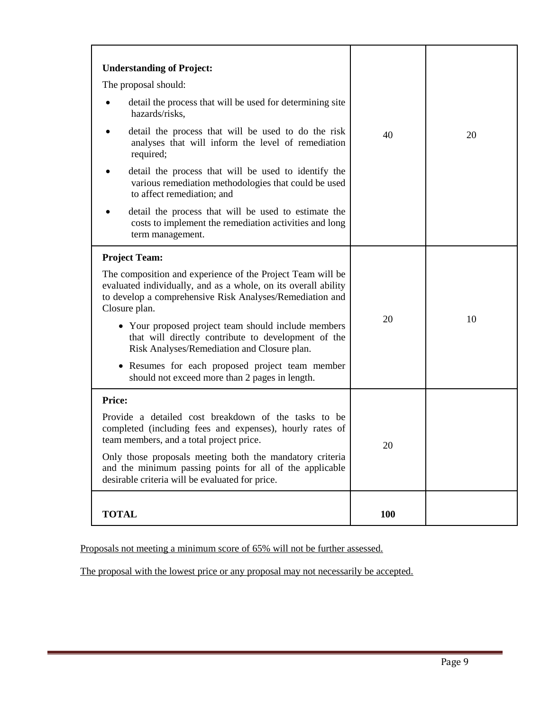| <b>Understanding of Project:</b><br>The proposal should:<br>detail the process that will be used for determining site<br>hazards/risks,<br>detail the process that will be used to do the risk<br>analyses that will inform the level of remediation<br>required;<br>detail the process that will be used to identify the<br>various remediation methodologies that could be used<br>to affect remediation; and                                                                                     | 40  | 20 |
|-----------------------------------------------------------------------------------------------------------------------------------------------------------------------------------------------------------------------------------------------------------------------------------------------------------------------------------------------------------------------------------------------------------------------------------------------------------------------------------------------------|-----|----|
| detail the process that will be used to estimate the<br>costs to implement the remediation activities and long<br>term management.                                                                                                                                                                                                                                                                                                                                                                  |     |    |
| <b>Project Team:</b><br>The composition and experience of the Project Team will be<br>evaluated individually, and as a whole, on its overall ability<br>to develop a comprehensive Risk Analyses/Remediation and<br>Closure plan.<br>• Your proposed project team should include members<br>that will directly contribute to development of the<br>Risk Analyses/Remediation and Closure plan.<br>• Resumes for each proposed project team member<br>should not exceed more than 2 pages in length. | 20  | 10 |
| Price:<br>Provide a detailed cost breakdown of the tasks to be<br>completed (including fees and expenses), hourly rates of<br>team members, and a total project price.<br>Only those proposals meeting both the mandatory criteria<br>and the minimum passing points for all of the applicable<br>desirable criteria will be evaluated for price.                                                                                                                                                   | 20  |    |
| <b>TOTAL</b>                                                                                                                                                                                                                                                                                                                                                                                                                                                                                        | 100 |    |

Proposals not meeting a minimum score of 65% will not be further assessed.

The proposal with the lowest price or any proposal may not necessarily be accepted.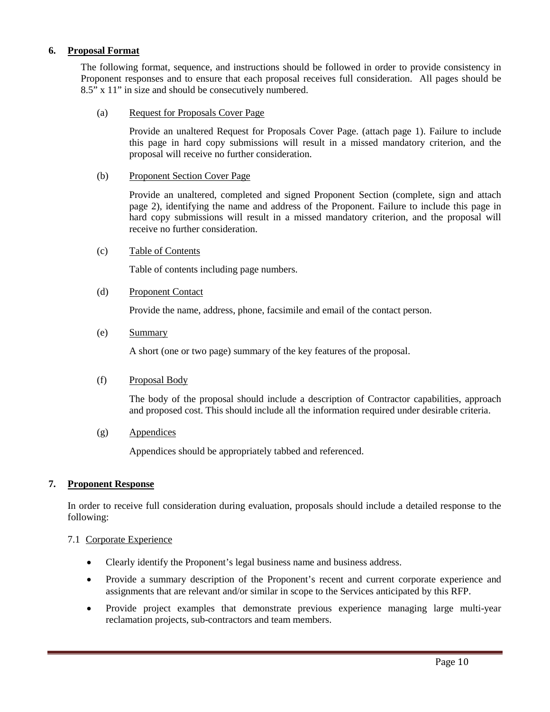## <span id="page-9-0"></span>**6. Proposal Format**

The following format, sequence, and instructions should be followed in order to provide consistency in Proponent responses and to ensure that each proposal receives full consideration. All pages should be 8.5" x 11" in size and should be consecutively numbered.

### (a) Request for Proposals Cover Page

Provide an unaltered Request for Proposals Cover Page. (attach page 1). Failure to include this page in hard copy submissions will result in a missed mandatory criterion, and the proposal will receive no further consideration.

### (b) Proponent Section Cover Page

Provide an unaltered, completed and signed Proponent Section (complete, sign and attach page 2), identifying the name and address of the Proponent. Failure to include this page in hard copy submissions will result in a missed mandatory criterion, and the proposal will receive no further consideration.

### (c) Table of Contents

Table of contents including page numbers.

### (d) Proponent Contact

Provide the name, address, phone, facsimile and email of the contact person.

### (e) Summary

A short (one or two page) summary of the key features of the proposal.

## (f) Proposal Body

The body of the proposal should include a description of Contractor capabilities, approach and proposed cost. This should include all the information required under desirable criteria.

## (g) Appendices

Appendices should be appropriately tabbed and referenced.

## <span id="page-9-1"></span>**7. Proponent Response**

In order to receive full consideration during evaluation, proposals should include a detailed response to the following:

#### <span id="page-9-2"></span>7.1 Corporate Experience

- Clearly identify the Proponent's legal business name and business address.
- Provide a summary description of the Proponent's recent and current corporate experience and assignments that are relevant and/or similar in scope to the Services anticipated by this RFP.
- Provide project examples that demonstrate previous experience managing large multi-year reclamation projects, sub-contractors and team members.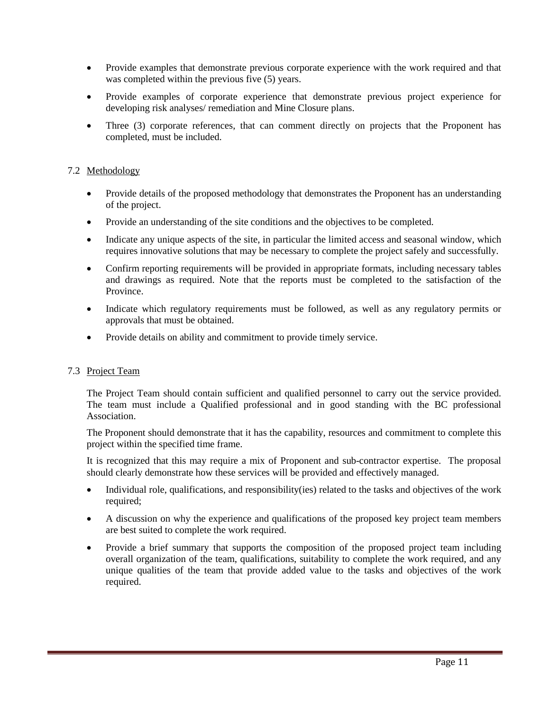- Provide examples that demonstrate previous corporate experience with the work required and that was completed within the previous five (5) years.
- Provide examples of corporate experience that demonstrate previous project experience for developing risk analyses/ remediation and Mine Closure plans.
- Three (3) corporate references, that can comment directly on projects that the Proponent has completed, must be included.

## 7.2 Methodology

- Provide details of the proposed methodology that demonstrates the Proponent has an understanding of the project.
- Provide an understanding of the site conditions and the objectives to be completed.
- Indicate any unique aspects of the site, in particular the limited access and seasonal window, which requires innovative solutions that may be necessary to complete the project safely and successfully.
- Confirm reporting requirements will be provided in appropriate formats, including necessary tables and drawings as required. Note that the reports must be completed to the satisfaction of the Province.
- Indicate which regulatory requirements must be followed, as well as any regulatory permits or approvals that must be obtained.
- Provide details on ability and commitment to provide timely service.

## <span id="page-10-0"></span>7.3 Project Team

The Project Team should contain sufficient and qualified personnel to carry out the service provided. The team must include a Qualified professional and in good standing with the BC professional Association.

The Proponent should demonstrate that it has the capability, resources and commitment to complete this project within the specified time frame.

It is recognized that this may require a mix of Proponent and sub-contractor expertise. The proposal should clearly demonstrate how these services will be provided and effectively managed.

- Individual role, qualifications, and responsibility(ies) related to the tasks and objectives of the work required:
- A discussion on why the experience and qualifications of the proposed key project team members are best suited to complete the work required.
- Provide a brief summary that supports the composition of the proposed project team including overall organization of the team, qualifications, suitability to complete the work required, and any unique qualities of the team that provide added value to the tasks and objectives of the work required.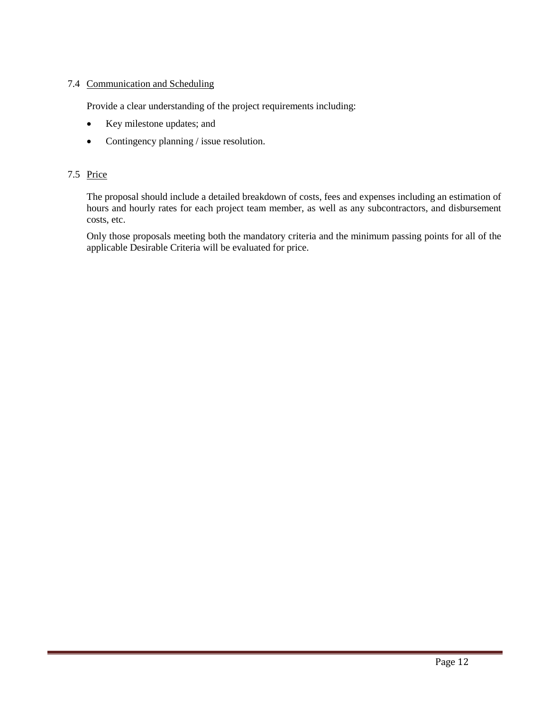## 7.4 Communication and Scheduling

Provide a clear understanding of the project requirements including:

- Key milestone updates; and
- Contingency planning / issue resolution.

## <span id="page-11-0"></span>7.5 Price

The proposal should include a detailed breakdown of costs, fees and expenses including an estimation of hours and hourly rates for each project team member, as well as any subcontractors, and disbursement costs, etc.

Only those proposals meeting both the mandatory criteria and the minimum passing points for all of the applicable Desirable Criteria will be evaluated for price.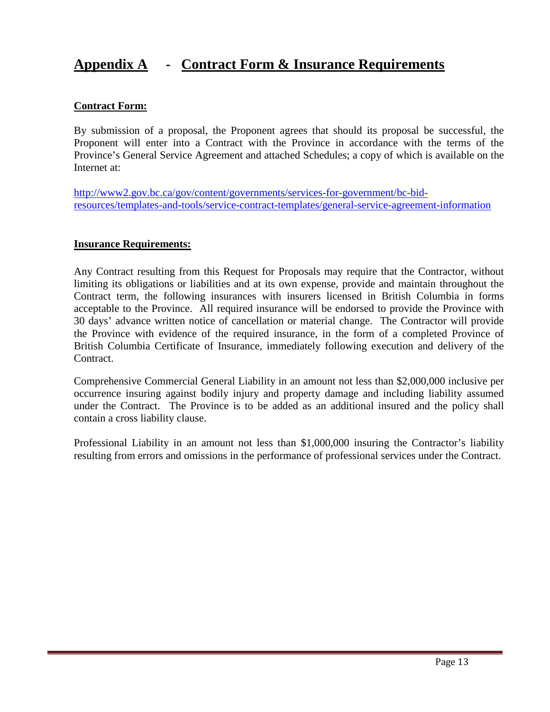## **Appendix A - Contract Form & Insurance Requirements**

## **Contract Form:**

By submission of a proposal, the Proponent agrees that should its proposal be successful, the Proponent will enter into a Contract with the Province in accordance with the terms of the Province's General Service Agreement and attached Schedules; a copy of which is available on the Internet at:

[http://www2.gov.bc.ca/gov/content/governments/services-for-government/bc-bid](http://www2.gov.bc.ca/gov/content/governments/services-for-government/bc-bid-resources/templates-and-tools/service-contract-templates/general-service-agreement-information)[resources/templates-and-tools/service-contract-templates/general-service-agreement-information](http://www2.gov.bc.ca/gov/content/governments/services-for-government/bc-bid-resources/templates-and-tools/service-contract-templates/general-service-agreement-information)

## **Insurance Requirements:**

Any Contract resulting from this Request for Proposals may require that the Contractor, without limiting its obligations or liabilities and at its own expense, provide and maintain throughout the Contract term, the following insurances with insurers licensed in British Columbia in forms acceptable to the Province. All required insurance will be endorsed to provide the Province with 30 days' advance written notice of cancellation or material change. The Contractor will provide the Province with evidence of the required insurance, in the form of a completed Province of British Columbia Certificate of Insurance, immediately following execution and delivery of the Contract.

Comprehensive Commercial General Liability in an amount not less than \$2,000,000 inclusive per occurrence insuring against bodily injury and property damage and including liability assumed under the Contract. The Province is to be added as an additional insured and the policy shall contain a cross liability clause.

Professional Liability in an amount not less than \$1,000,000 insuring the Contractor's liability resulting from errors and omissions in the performance of professional services under the Contract.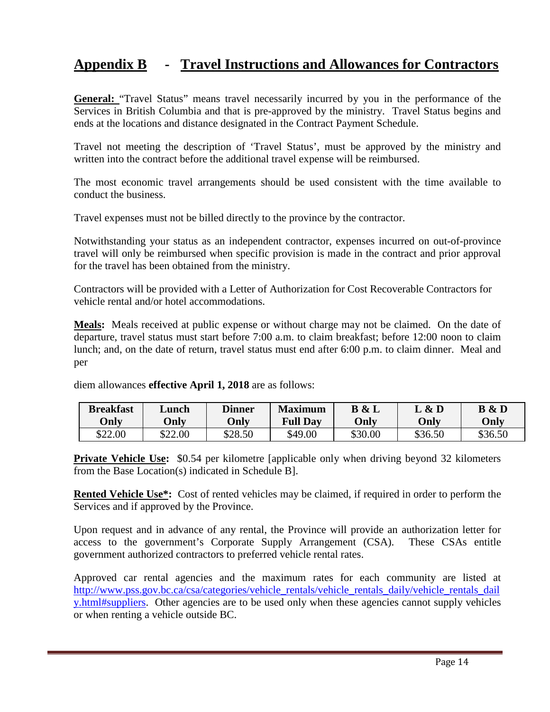## **Appendix B - Travel Instructions and Allowances for Contractors**

**General:** "Travel Status" means travel necessarily incurred by you in the performance of the Services in British Columbia and that is pre-approved by the ministry. Travel Status begins and ends at the locations and distance designated in the Contract Payment Schedule.

Travel not meeting the description of 'Travel Status', must be approved by the ministry and written into the contract before the additional travel expense will be reimbursed.

The most economic travel arrangements should be used consistent with the time available to conduct the business.

Travel expenses must not be billed directly to the province by the contractor.

Notwithstanding your status as an independent contractor, expenses incurred on out-of-province travel will only be reimbursed when specific provision is made in the contract and prior approval for the travel has been obtained from the ministry.

Contractors will be provided with a Letter of Authorization for Cost Recoverable Contractors for vehicle rental and/or hotel accommodations.

**Meals:** Meals received at public expense or without charge may not be claimed. On the date of departure, travel status must start before 7:00 a.m. to claim breakfast; before 12:00 noon to claim lunch; and, on the date of return, travel status must end after 6:00 p.m. to claim dinner. Meal and per

| <b>Breakfast</b><br>Only | Lunch<br>Only | <b>Dinner</b><br>Only | <b>Maximum</b><br><b>Full Day</b> | $\&$ L<br>B<br>Only | L & D<br>Only | B & D<br>Only |
|--------------------------|---------------|-----------------------|-----------------------------------|---------------------|---------------|---------------|
| \$22.00                  | \$22.00       | \$28.50               | \$49.00                           | \$30.00             | \$36.50       | \$36.50       |

diem allowances **effective April 1, 2018** are as follows:

**Private Vehicle Use:** \$0.54 per kilometre [applicable only when driving beyond 32 kilometers from the Base Location(s) indicated in Schedule B].

**Rented Vehicle Use\*:** Cost of rented vehicles may be claimed, if required in order to perform the Services and if approved by the Province.

Upon request and in advance of any rental, the Province will provide an authorization letter for access to the government's Corporate Supply Arrangement (CSA). These CSAs entitle government authorized contractors to preferred vehicle rental rates.

Approved car rental agencies and the maximum rates for each community are listed at [http://www.pss.gov.bc.ca/csa/categories/vehicle\\_rentals/vehicle\\_rentals\\_daily/vehicle\\_rentals\\_dail](http://www.pss.gov.bc.ca/csa/categories/vehicle_rentals/vehicle_rentals_daily/vehicle_rentals_daily.html#suppliers) [y.html#suppliers.](http://www.pss.gov.bc.ca/csa/categories/vehicle_rentals/vehicle_rentals_daily/vehicle_rentals_daily.html#suppliers) Other agencies are to be used only when these agencies cannot supply vehicles or when renting a vehicle outside BC.